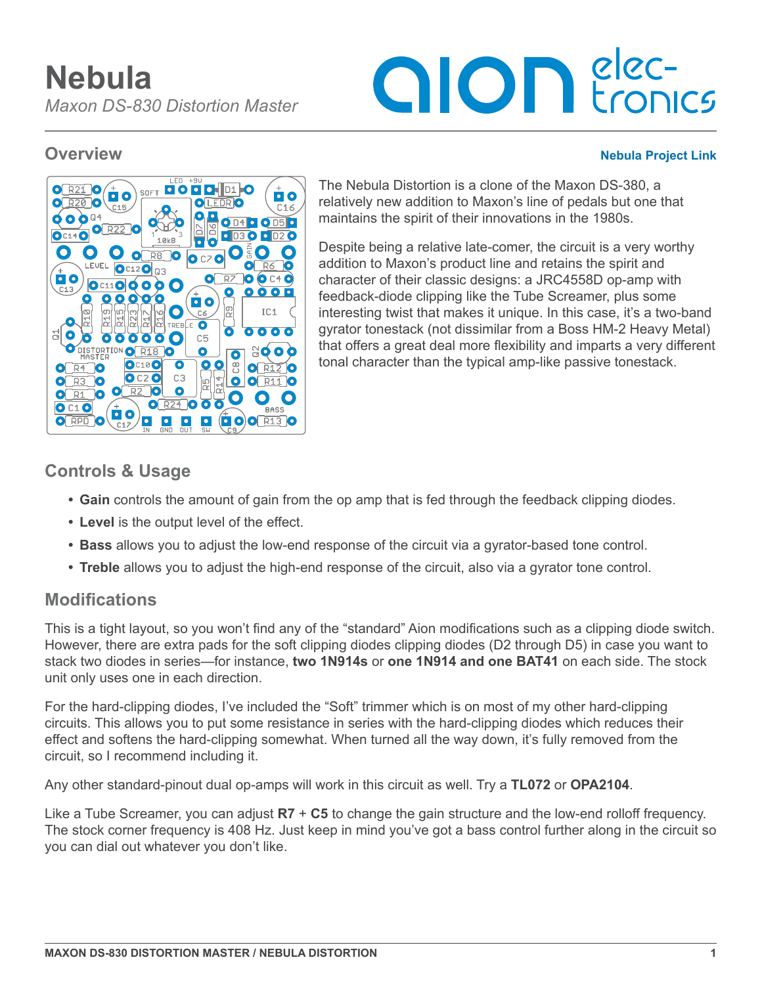# **alon** elec-

#### **Overview [Nebula Project Link](https://aionelectronics.com/project/nebula-maxon-ds-830-distortion-master/)**



The Nebula Distortion is a clone of the Maxon DS-380, a relatively new addition to Maxon's line of pedals but one that maintains the spirit of their innovations in the 1980s.

Despite being a relative late-comer, the circuit is a very worthy addition to Maxon's product line and retains the spirit and character of their classic designs: a JRC4558D op-amp with feedback-diode clipping like the Tube Screamer, plus some interesting twist that makes it unique. In this case, it's a two-band gyrator tonestack (not dissimilar from a Boss HM-2 Heavy Metal) that offers a great deal more flexibility and imparts a very different tonal character than the typical amp-like passive tonestack.

# **Controls & Usage**

- **• Gain** controls the amount of gain from the op amp that is fed through the feedback clipping diodes.
- **• Level** is the output level of the effect.
- **• Bass** allows you to adjust the low-end response of the circuit via a gyrator-based tone control.
- **Treble** allows you to adjust the high-end response of the circuit, also via a gyrator tone control.

# **Modifications**

This is a tight layout, so you won't find any of the "standard" Aion modifications such as a clipping diode switch. However, there are extra pads for the soft clipping diodes clipping diodes (D2 through D5) in case you want to stack two diodes in series—for instance, **two 1N914s** or **one 1N914 and one BAT41** on each side. The stock unit only uses one in each direction.

For the hard-clipping diodes, I've included the "Soft" trimmer which is on most of my other hard-clipping circuits. This allows you to put some resistance in series with the hard-clipping diodes which reduces their effect and softens the hard-clipping somewhat. When turned all the way down, it's fully removed from the circuit, so I recommend including it.

Any other standard-pinout dual op-amps will work in this circuit as well. Try a **TL072** or **OPA2104**.

Like a Tube Screamer, you can adjust **R7** + **C5** to change the gain structure and the low-end rolloff frequency. The stock corner frequency is 408 Hz. Just keep in mind you've got a bass control further along in the circuit so you can dial out whatever you don't like.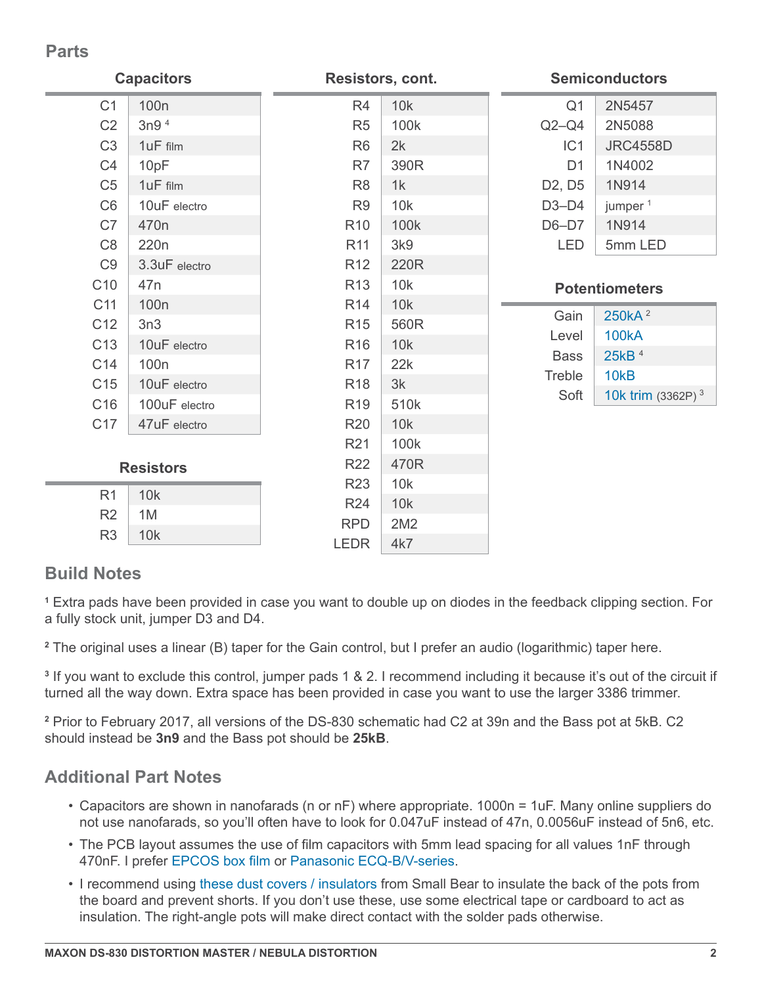# **Parts**

| <b>Capacitors</b> |                  | Resistors, cont. |      | <b>Semiconductors</b>           |                      |
|-------------------|------------------|------------------|------|---------------------------------|----------------------|
| C <sub>1</sub>    | 100 <sub>n</sub> | R <sub>4</sub>   | 10k  | Q <sub>1</sub>                  | 2N5457               |
| C <sub>2</sub>    | 3n9 <sup>4</sup> | R <sub>5</sub>   | 100k | $Q2-Q4$                         | 2N5088               |
| C <sub>3</sub>    | 1uF film         | R <sub>6</sub>   | 2k   | IC1                             | <b>JRC4558D</b>      |
| C <sub>4</sub>    | 10pF             | R7               | 390R | D <sub>1</sub>                  | 1N4002               |
| C <sub>5</sub>    | 1uF film         | R <sub>8</sub>   | 1k   | D <sub>2</sub> , D <sub>5</sub> | 1N914                |
| C <sub>6</sub>    | 10uF electro     | R <sub>9</sub>   | 10k  | $D3-D4$                         | jumper <sup>1</sup>  |
| C7                | 470 <sub>n</sub> | R <sub>10</sub>  | 100k | $D6-D7$                         | 1N914                |
| C <sub>8</sub>    | 220 <sub>n</sub> | R <sub>11</sub>  | 3k9  | <b>LED</b>                      | 5mm LED              |
| C <sub>9</sub>    | 3.3uF electro    | R <sub>12</sub>  | 220R |                                 |                      |
| C <sub>10</sub>   | 47 <sub>n</sub>  | R <sub>13</sub>  | 10k  | <b>Potentiometers</b>           |                      |
| C11               | 100 <sub>n</sub> | R <sub>14</sub>  | 10k  |                                 |                      |
| C <sub>12</sub>   | 3n3              | <b>R15</b>       | 560R | Gain                            | 250kA <sup>2</sup>   |
| C <sub>13</sub>   | 10uF electro     | R <sub>16</sub>  | 10k  | Level                           | <b>100kA</b>         |
| C14               | 100 <sub>n</sub> | <b>R17</b>       | 22k  | <b>Bass</b>                     | 25kB 4               |
| C15               | 10uF electro     | R <sub>18</sub>  | 3k   | Treble                          | 10 <sub>k</sub> B    |
| C16               | 100uF electro    | R <sub>19</sub>  | 510k | Soft                            | 10k trim $(3362P)^3$ |
| C17               | 47uF electro     | <b>R20</b>       | 10k  |                                 |                      |
|                   |                  | R <sub>21</sub>  | 100k |                                 |                      |
| <b>Resistors</b>  |                  | <b>R22</b>       | 470R |                                 |                      |
|                   |                  | <b>R23</b>       | 10k  |                                 |                      |
| R <sub>1</sub>    | 10k              | <b>R24</b>       | 10k  |                                 |                      |
| R <sub>2</sub>    | 1M               | <b>RPD</b>       | 2M2  |                                 |                      |
| R <sub>3</sub>    | 10k              | <b>LEDR</b>      | 4k7  |                                 |                      |

# **Build Notes**

**1** Extra pads have been provided in case you want to double up on diodes in the feedback clipping section. For a fully stock unit, jumper D3 and D4.

**2** The original uses a linear (B) taper for the Gain control, but I prefer an audio (logarithmic) taper here.

**3** If you want to exclude this control, jumper pads 1 & 2. I recommend including it because it's out of the circuit if turned all the way down. Extra space has been provided in case you want to use the larger 3386 trimmer.

**2** Prior to February 2017, all versions of the DS-830 schematic had C2 at 39n and the Bass pot at 5kB. C2 should instead be **3n9** and the Bass pot should be **25kB**.

# **Additional Part Notes**

- Capacitors are shown in nanofarads (n or nF) where appropriate. 1000n = 1uF. Many online suppliers do not use nanofarads, so you'll often have to look for 0.047uF instead of 47n, 0.0056uF instead of 5n6, etc.
- The PCB layout assumes the use of film capacitors with 5mm lead spacing for all values 1nF through 470nF. I prefer [EPCOS box film](https://aionelectronics.com/link/epcos-box-film/) or [Panasonic ECQ-B/V-series](https://aionelectronics.com/link/panasonic-film/).
- I recommend using [these dust covers / insulators](https://aionelectronics.com/link/16mm-dust-covers/) from Small Bear to insulate the back of the pots from the board and prevent shorts. If you don't use these, use some electrical tape or cardboard to act as insulation. The right-angle pots will make direct contact with the solder pads otherwise.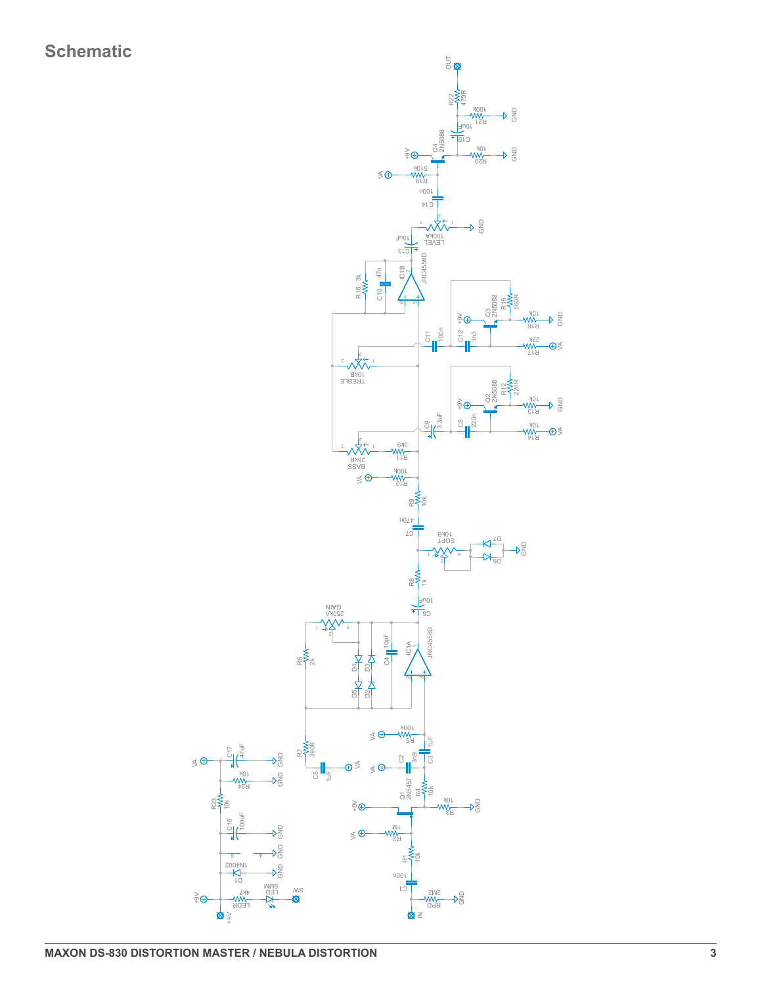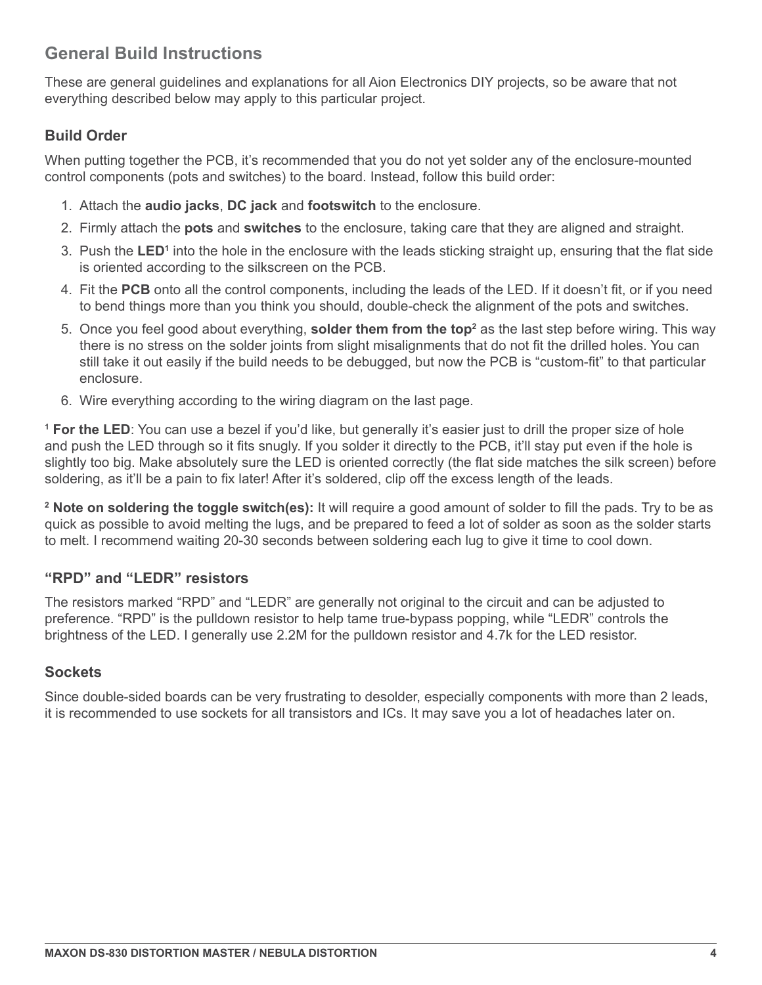# **General Build Instructions**

These are general guidelines and explanations for all Aion Electronics DIY projects, so be aware that not everything described below may apply to this particular project.

#### **Build Order**

When putting together the PCB, it's recommended that you do not yet solder any of the enclosure-mounted control components (pots and switches) to the board. Instead, follow this build order:

- 1. Attach the **audio jacks**, **DC jack** and **footswitch** to the enclosure.
- 2. Firmly attach the **pots** and **switches** to the enclosure, taking care that they are aligned and straight.
- 3. Push the LED<sup>1</sup> into the hole in the enclosure with the leads sticking straight up, ensuring that the flat side is oriented according to the silkscreen on the PCB.
- 4. Fit the **PCB** onto all the control components, including the leads of the LED. If it doesn't fit, or if you need to bend things more than you think you should, double-check the alignment of the pots and switches.
- 5. Once you feel good about everything, **solder them from the top**<sup>2</sup> as the last step before wiring. This way there is no stress on the solder joints from slight misalignments that do not fit the drilled holes. You can still take it out easily if the build needs to be debugged, but now the PCB is "custom-fit" to that particular enclosure.
- 6. Wire everything according to the wiring diagram on the last page.

**1 For the LED**: You can use a bezel if you'd like, but generally it's easier just to drill the proper size of hole and push the LED through so it fits snugly. If you solder it directly to the PCB, it'll stay put even if the hole is slightly too big. Make absolutely sure the LED is oriented correctly (the flat side matches the silk screen) before soldering, as it'll be a pain to fix later! After it's soldered, clip off the excess length of the leads.

**2 Note on soldering the toggle switch(es):** It will require a good amount of solder to fill the pads. Try to be as quick as possible to avoid melting the lugs, and be prepared to feed a lot of solder as soon as the solder starts to melt. I recommend waiting 20-30 seconds between soldering each lug to give it time to cool down.

#### **"RPD" and "LEDR" resistors**

The resistors marked "RPD" and "LEDR" are generally not original to the circuit and can be adjusted to preference. "RPD" is the pulldown resistor to help tame true-bypass popping, while "LEDR" controls the brightness of the LED. I generally use 2.2M for the pulldown resistor and 4.7k for the LED resistor.

#### **Sockets**

Since double-sided boards can be very frustrating to desolder, especially components with more than 2 leads, it is recommended to use sockets for all transistors and ICs. It may save you a lot of headaches later on.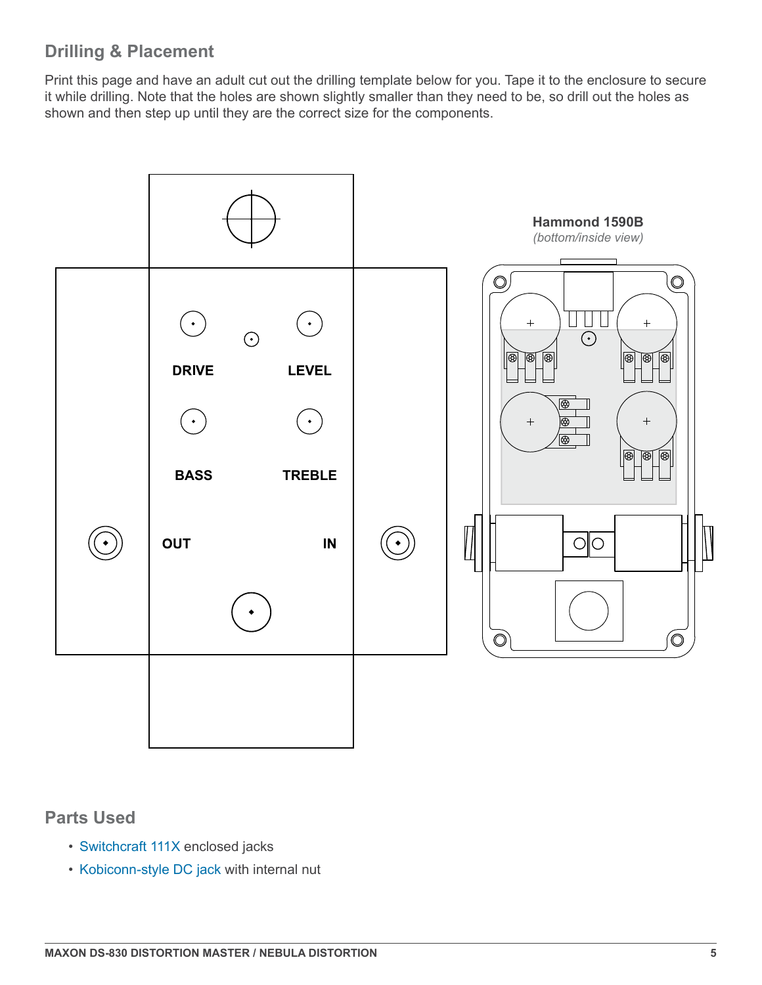# **Drilling & Placement**

Print this page and have an adult cut out the drilling template below for you. Tape it to the enclosure to secure it while drilling. Note that the holes are shown slightly smaller than they need to be, so drill out the holes as shown and then step up until they are the correct size for the components.



#### **Parts Used**

- [Switchcraft 111X](https://aionelectronics.com/link/switchcraft-111/) enclosed jacks
- [Kobiconn-style DC jack](https://aionelectronics.com/link/dc-jack/) with internal nut